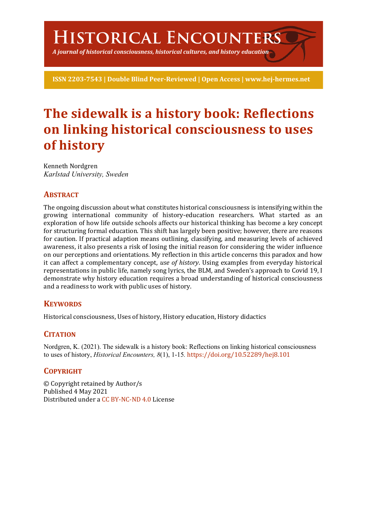# **Historical Encounters**

*A journal of historical consciousness, historical cultures, and history education*

**ISSN 2203-7543 | Double Blind Peer-Reviewed | Open Access | www.hej-hermes.net**

# **The sidewalk is a history book: Reflections on linking historical consciousness to uses of history**

Kenneth Nordgren *Karlstad University, Sweden*

# **ABSTRACT**

The ongoing discussion about what constitutes historical consciousness is intensifying within the growing international community of history-education researchers. What started as an exploration of how life outside schools affects our historical thinking has become a key concept for structuring formal education. This shift has largely been positive; however, there are reasons for caution. If practical adaption means outlining, classifying, and measuring levels of achieved awareness, it also presents a risk of losing the initial reason for considering the wider influence on our perceptions and orientations. My reflection in this article concerns this paradox and how it can affect a complementary concept, use of history. Using examples from everyday historical representations in public life, namely song lyrics, the BLM, and Sweden's approach to Covid 19, I demonstrate why history education requires a broad understanding of historical consciousness and a readiness to work with public uses of history.

# **KEYWORDS**

Historical consciousness, Uses of history, History education, History didactics

# **CITATION**

Nordgren, K. (2021). The sidewalk is a history book: Reflections on linking historical consciousness to uses of history, *Historical Encounters, 8*(1), 1-15*.* https://doi.org/10.52289/hej8.101

# **COPYRIGHT**

© Copyright retained by Author/s Published 4 May 2021 Distributed under a CC BY-NC-ND 4.0 License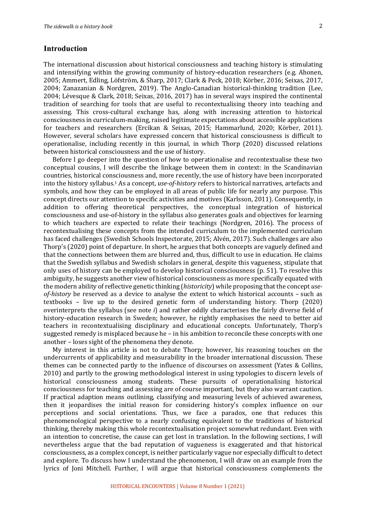#### **Introduction**

The international discussion about historical consciousness and teaching history is stimulating and intensifying within the growing community of history-education researchers (e.g. Ahonen, 2005; Ammert, Edling, Löfström, & Sharp, 2017; Clark & Peck, 2018; Körber, 2016; Seixas, 2017, 2004; Zanazanian & Nordgren, 2019). The Anglo-Canadian historical-thinking tradition (Lee, 2004; Lévesque & Clark, 2018; Seixas, 2016, 2017) has in several ways inspired the continental tradition of searching for tools that are useful to recontextualising theory into teaching and assessing. This cross-cultural exchange has, along with increasing attention to historical consciousness in curriculum-making, raised legitimate expectations about accessible applications for teachers and researchers (Ercikan & Seixas, 2015; Hammarlund, 2020; Körber, 2011). However, several scholars have expressed concern that historical consciousness is difficult to operationalise, including recently in this journal, in which Thorp (2020) discussed relations between historical consciousness and the use of history.

Before I go deeper into the question of how to operationalise and recontextualise these two conceptual cousins, I will describe the linkage between them in context: in the Scandinavian countries, historical consciousness and, more recently, the use of history have been incorporated into the history syllabus.<sup>1</sup> As a concept, *use-of-history* refers to historical narratives, artefacts and symbols, and how they can be employed in all areas of public life for nearly any purpose. This concept directs our attention to specific activities and motives (Karlsson, 2011). Consequently, in addition to offering theoretical perspectives, the conceptual integration of historical consciousness and use-of-history in the syllabus also generates goals and objectives for learning to which teachers are expected to relate their teachings (Nordgren, 2016). The process of recontextualising these concepts from the intended curriculum to the implemented curriculum has faced challenges (Swedish Schools Inspectorate, 2015; Alvén, 2017). Such challenges are also Thorp's (2020) point of departure. In short, he argues that both concepts are vaguely defined and that the connections between them are blurred and, thus, difficult to use in education. He claims that the Swedish syllabus and Swedish scholars in general, despite this vagueness, stipulate that only uses of history can be employed to develop historical consciousness (p. 51). To resolve this ambiguity, he suggests another view of historical consciousness as more specifically equated with the modern ability of reflective genetic thinking (*historicity*) while proposing that the concept *useof-history* be reserved as a device to analyse the extent to which historical accounts - such as textbooks - live up to the desired genetic form of understanding history. Thorp (2020) overinterprets the syllabus (see note *i*) and rather oddly characterises the fairly diverse field of history-education research in Sweden; however, he rightly emphasises the need to better aid teachers in recontextualising disciplinary and educational concepts. Unfortunately, Thorp's suggested remedy is misplaced because  $he$  – in his ambition to reconcile these concepts with one another – loses sight of the phenomena they denote.

My interest in this article is not to debate Thorp; however, his reasoning touches on the undercurrents of applicability and measurability in the broader international discussion. These themes can be connected partly to the influence of discourses on assessment (Yates  $&$  Collins, 2010) and partly to the growing methodological interest in using typologies to discern levels of historical consciousness among students. These pursuits of operationalising historical consciousness for teaching and assessing are of course important, but they also warrant caution. If practical adaption means outlining, classifying and measuring levels of achieved awareness, then it jeopardises the initial reason for considering history's complex influence on our perceptions and social orientations. Thus, we face a paradox, one that reduces this phenomenological perspective to a nearly confusing equivalent to the traditions of historical thinking, thereby making this whole recontextualisation project somewhat redundant. Even with an intention to concretise, the cause can get lost in translation. In the following sections, I will nevertheless argue that the bad reputation of vagueness is exaggerated and that historical consciousness, as a complex concept, is neither particularly vague nor especially difficult to detect and explore. To discuss how I understand the phenomenon, I will draw on an example from the lyrics of Joni Mitchell. Further, I will argue that historical consciousness complements the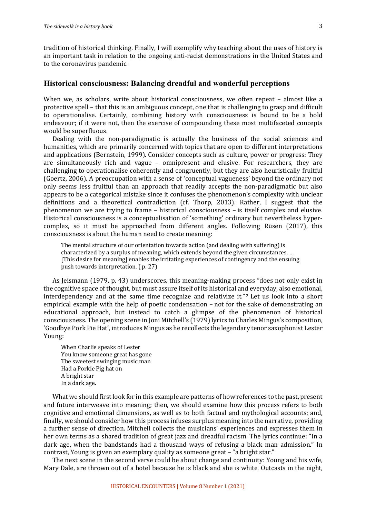tradition of historical thinking. Finally, I will exemplify why teaching about the uses of history is an important task in relation to the ongoing anti-racist demonstrations in the United States and to the coronavirus pandemic.

#### **Historical consciousness: Balancing dreadful and wonderful perceptions**

When we, as scholars, write about historical consciousness, we often repeat  $-$  almost like a protective spell – that this is an ambiguous concept, one that is challenging to grasp and difficult to operationalise. Certainly, combining history with consciousness is bound to be a bold endeavour; if it were not, then the exercise of compounding these most multifaceted concepts would be superfluous.

Dealing with the non-paradigmatic is actually the business of the social sciences and humanities, which are primarily concerned with topics that are open to different interpretations and applications (Bernstein, 1999). Consider concepts such as culture, power or progress: They are simultaneously rich and vague - omnipresent and elusive. For researchers, they are challenging to operationalise coherently and congruently, but they are also heuristically fruitful (Goertz, 2006). A preoccupation with a sense of 'conceptual vagueness' beyond the ordinary not only seems less fruitful than an approach that readily accepts the non-paradigmatic but also appears to be a categorical mistake since it confuses the phenomenon's complexity with unclear definitions and a theoretical contradiction (cf. Thorp, 2013). Rather, I suggest that the phenomenon we are trying to frame  $-$  historical consciousness  $-$  is itself complex and elusive. Historical consciousness is a conceptualisation of 'something' ordinary but nevertheless hypercomplex, so it must be approached from different angles. Following Rüsen (2017), this consciousness is about the human need to create meaning:

The mental structure of our orientation towards action (and dealing with suffering) is characterized by a surplus of meaning, which extends beyond the given circumstances. ... [This desire for meaning] enables the irritating experiences of contingency and the ensuing push towards interpretation. (p. 27)

As Jeismann (1979, p. 43) underscores, this meaning-making process "does not only exist in the cognitive space of thought, but must assure itself of its historical and everyday, also emotional, interdependency and at the same time recognize and relativize it."<sup>2</sup> Let us look into a short empirical example with the help of poetic condensation - not for the sake of demonstrating an educational approach, but instead to catch a glimpse of the phenomenon of historical consciousness. The opening scene in Joni Mitchell's  $(1979)$  lyrics to Charles Mingus's composition, 'Goodbye Pork Pie Hat', introduces Mingus as he recollects the legendary tenor saxophonist Lester Young: 

When Charlie speaks of Lester You know someone great has gone The sweetest swinging music man Had a Porkie Pig hat on A bright star In a dark age.

What we should first look for in this example are patterns of how references to the past, present and future interweave into meaning; then, we should examine how this process refers to both cognitive and emotional dimensions, as well as to both factual and mythological accounts; and, finally, we should consider how this process infuses surplus meaning into the narrative, providing a further sense of direction. Mitchell collects the musicians' experiences and expresses them in her own terms as a shared tradition of great jazz and dreadful racism. The lyrics continue: "In a dark age, when the bandstands had a thousand ways of refusing a black man admission." In contrast, Young is given an exemplary quality as someone great – "a bright star."

The next scene in the second verse could be about change and continuity: Young and his wife, Mary Dale, are thrown out of a hotel because he is black and she is white. Outcasts in the night,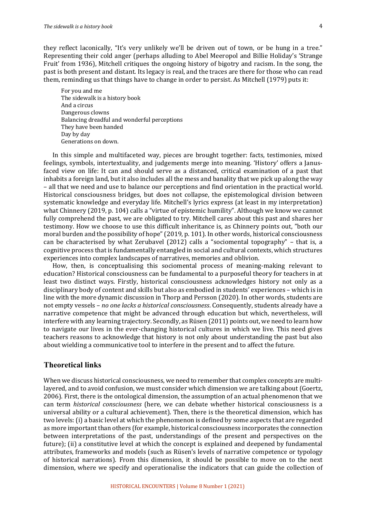they reflect laconically, "It's very unlikely we'll be driven out of town, or be hung in a tree." Representing their cold anger (perhaps alluding to Abel Meeropol and Billie Holiday's 'Strange Fruit' from 1936), Mitchell critiques the ongoing history of bigotry and racism. In the song, the past is both present and distant. Its legacy is real, and the traces are there for those who can read them, reminding us that things have to change in order to persist. As Mitchell (1979) puts it:

For you and me The sidewalk is a history book And a circus Dangerous clowns Balancing dreadful and wonderful perceptions They have been handed Day by day Generations on down.

In this simple and multifaceted way, pieces are brought together: facts, testimonies, mixed feelings, symbols, intertextuality, and judgements merge into meaning. 'History' offers a Janusfaced view on life: It can and should serve as a distanced, critical examination of a past that inhabits a foreign land, but it also includes all the mess and banality that we pick up along the way – all that we need and use to balance our perceptions and find orientation in the practical world. Historical consciousness bridges, but does not collapse, the epistemological division between systematic knowledge and everyday life. Mitchell's lyrics express (at least in my interpretation) what Chinnery (2019, p. 104) calls a "virtue of epistemic humility". Although we know we cannot fully comprehend the past, we are obligated to try. Mitchell cares about this past and shares her testimony. How we choose to use this difficult inheritance is, as Chinnery points out, "both our moral burden and the possibility of hope" (2019, p. 101). In other words, historical consciousness can be characterised by what Zerubavel (2012) calls a "sociomental topography" - that is, a cognitive process that is fundamentally entangled in social and cultural contexts, which structures experiences into complex landscapes of narratives, memories and oblivion.

How, then, is conceptualising this sociomental process of meaning-making relevant to education? Historical consciousness can be fundamental to a purposeful theory for teachers in at least two distinct ways. Firstly, historical consciousness acknowledges history not only as a disciplinary body of content and skills but also as embodied in students' experiences – which is in line with the more dynamic discussion in Thorp and Persson (2020). In other words, students are not empty vessels - *no one lacks a historical consciousness*. Consequently, students already have a narrative competence that might be advanced through education but which, nevertheless, will interfere with any learning trajectory. Secondly, as Rüsen (2011) points out, we need to learn how to navigate our lives in the ever-changing historical cultures in which we live. This need gives teachers reasons to acknowledge that history is not only about understanding the past but also about wielding a communicative tool to interfere in the present and to affect the future.

#### **Theoretical links**

When we discuss historical consciousness, we need to remember that complex concepts are multilayered, and to avoid confusion, we must consider which dimension we are talking about (Goertz, 2006). First, there is the ontological dimension, the assumption of an actual phenomenon that we can term *historical consciousness* (here, we can debate whether historical consciousness is a universal ability or a cultural achievement). Then, there is the theoretical dimension, which has two levels: (i) a basic level at which the phenomenon is defined by some aspects that are regarded as more important than others (for example, historical consciousness incorporates the connection between interpretations of the past, understandings of the present and perspectives on the future); (ii) a constitutive level at which the concept is explained and deepened by fundamental attributes, frameworks and models (such as Rüsen's levels of narrative competence or typology of historical narrations). From this dimension, it should be possible to move on to the next dimension, where we specify and operationalise the indicators that can guide the collection of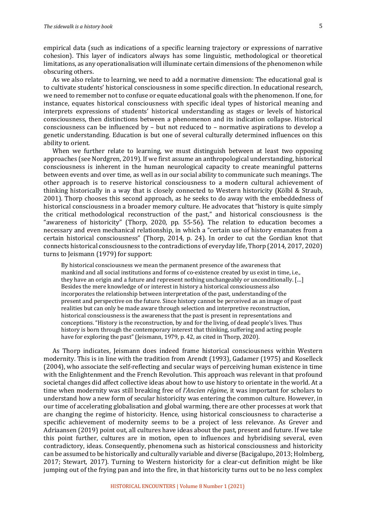empirical data (such as indications of a specific learning trajectory or expressions of narrative cohesion). This layer of indicators always has some linguistic, methodological or theoretical limitations, as any operationalisation will illuminate certain dimensions of the phenomenon while obscuring others.

As we also relate to learning, we need to add a normative dimension: The educational goal is to cultivate students' historical consciousness in some specific direction. In educational research, we need to remember not to confuse or equate educational goals with the phenomenon. If one, for instance, equates historical consciousness with specific ideal types of historical meaning and interprets expressions of students' historical understanding as stages or levels of historical consciousness, then distinctions between a phenomenon and its indication collapse. Historical consciousness can be influenced by  $-$  but not reduced to  $-$  normative aspirations to develop a genetic understanding. Education is but one of several culturally determined influences on this ability to orient.

When we further relate to learning, we must distinguish between at least two opposing approaches (see Nordgren, 2019). If we first assume an anthropological understanding, historical consciousness is inherent in the human neurological capacity to create meaningful patterns between events and over time, as well as in our social ability to communicate such meanings. The other approach is to reserve historical consciousness to a modern cultural achievement of thinking historically in a way that is closely connected to Western historicity (Kölbl & Straub, 2001). Thorp chooses this second approach, as he seeks to do away with the embeddedness of historical consciousness in a broader memory culture. He advocates that "history is quite simply the critical methodological reconstruction of the past," and historical consciousness is the "awareness of historicity" (Thorp, 2020, pp. 55-56). The relation to education becomes a necessary and even mechanical relationship, in which a "certain use of history emanates from a certain historical consciousness" (Thorp, 2014, p. 24). In order to cut the Gordian knot that connects historical consciousness to the contradictions of everyday life, Thorp (2014, 2017, 2020) turns to Jeismann (1979) for support:

By historical consciousness we mean the permanent presence of the awareness that mankind and all social institutions and forms of co-existence created by us exist in time, i.e., they have an origin and a future and represent nothing unchangeably or unconditionally. [...] Besides the mere knowledge of or interest in history a historical consciousness also incorporates the relationship between interpretation of the past, understanding of the present and perspective on the future. Since history cannot be perceived as an image of past realities but can only be made aware through selection and interpretive reconstruction, historical consciousness is the awareness that the past is present in representations and conceptions. "History is the reconstruction, by and for the living, of dead people's lives. Thus history is born through the contemporary interest that thinking, suffering and acting people have for exploring the past" (Jeismann, 1979, p. 42, as cited in Thorp, 2020).

As Thorp indicates, Jeismann does indeed frame historical consciousness within Western modernity. This is in line with the tradition from Arendt (1993), Gadamer (1975) and Koselleck (2004), who associate the self-reflecting and secular ways of perceiving human existence in time with the Enlightenment and the French Revolution. This approach was relevant in that profound societal changes did affect collective ideas about how to use history to orientate in the world. At a time when modernity was still breaking free of *l'Ancien régime*, it was important for scholars to understand how a new form of secular historicity was entering the common culture. However, in our time of accelerating globalisation and global warming, there are other processes at work that are changing the regime of historicity. Hence, using historical consciousness to characterise a specific achievement of modernity seems to be a project of less relevance. As Grever and Adriaansen (2019) point out, all cultures have ideas about the past, present and future. If we take this point further, cultures are in motion, open to influences and hybridising several, even contradictory, ideas. Consequently, phenomena such as historical consciousness and historicity can be assumed to be historically and culturally variable and diverse (Bacigalupo, 2013; Holmberg, 2017; Stewart, 2017). Turning to Western historicity for a clear-cut definition might be like jumping out of the frying pan and into the fire, in that historicity turns out to be no less complex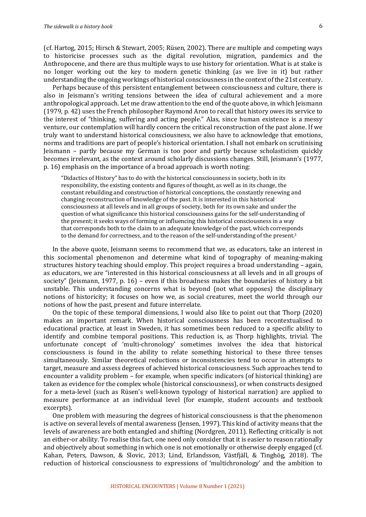(cf. Hartog, 2015; Hirsch & Stewart, 2005; Rüsen, 2002). There are multiple and competing ways to historicise processes such as the digital revolution, migration, pandemics and the Anthropocene, and there are thus multiple ways to use history for orientation. What is at stake is no longer working out the key to modern genetic thinking (as we live in it) but rather understanding the ongoing workings of historical consciousness in the context of the 21st century.

Perhaps because of this persistent entanglement between consciousness and culture, there is also in Jeismann's writing tensions between the idea of cultural achievement and a more anthropological approach. Let me draw attention to the end of the quote above, in which Jeismann (1979, p. 42) uses the French philosopher Raymond Aron to recall that history owes its service to the interest of "thinking, suffering and acting people." Alas, since human existence is a messy venture, our contemplation will hardly concern the critical reconstruction of the past alone. If we truly want to understand historical consciousness, we also have to acknowledge that emotions, norms and traditions are part of people's historical orientation. I shall not embark on scrutinising Jeismann - partly because my German is too poor and partly because scholasticism quickly becomes irrelevant, as the context around scholarly discussions changes. Still, Jeismann's (1977, p. 16) emphasis on the importance of a broad approach is worth noting:

"Didactics of History" has to do with the historical consciousness in society, both in its responsibility, the existing contents and figures of thought, as well as in its change, the constant rebuilding and construction of historical conceptions, the constantly renewing and changing reconstruction of knowledge of the past. It is interested in this historical consciousness at all levels and in all groups of society, both for its own sake and under the question of what significance this historical consciousness gains for the self-understanding of the present; it seeks ways of forming or influencing this historical consciousness in a way that corresponds both to the claim to an adequate knowledge of the past, which corresponds to the demand for correctness, and to the reason of the self-understanding of the present.<sup>3</sup>

In the above quote, Jeismann seems to recommend that we, as educators, take an interest in this sociomental phenomenon and determine what kind of topography of meaning-making structures history teaching should employ. This project requires a broad understanding – again, as educators, we are "interested in this historical consciousness at all levels and in all groups of society" (Jeismann, 1977, p. 16) – even if this broadness makes the boundaries of history a bit unstable. This understanding concerns what is beyond (not what opposes) the disciplinary notions of historicity; it focuses on how we, as social creatures, meet the world through our notions of how the past, present and future interrelate.

On the topic of these temporal dimensions, I would also like to point out that Thorp (2020) makes an important remark. When historical consciousness has been recontextualised to educational practice, at least in Sweden, it has sometimes been reduced to a specific ability to identify and combine temporal positions. This reduction is, as Thorp highlights, trivial. The unfortunate concept of 'multi-chronology' sometimes involves the idea that historical consciousness is found in the ability to relate something historical to these three tenses simultaneously. Similar theoretical reductions or inconsistencies tend to occur in attempts to target, measure and assess degrees of achieved historical consciousness. Such approaches tend to encounter a validity problem – for example, when specific indicators (of historical thinking) are taken as evidence for the complex whole (historical consciousness), or when constructs designed for a meta-level (such as Rüsen's well-known typology of historical narration) are applied to measure performance at an individual level (for example, student accounts and textbook excerpts). 

One problem with measuring the degrees of historical consciousness is that the phenomenon is active on several levels of mental awareness (Jensen, 1997). This kind of activity means that the levels of awareness are both entangled and shifting (Nordgren, 2011). Reflecting critically is not an either-or ability. To realise this fact, one need only consider that it is easier to reason rationally and objectively about something in which one is not emotionally or otherwise deeply engaged (cf. Kahan, Peters, Dawson, & Slovic, 2013; Lind, Erlandsson, Västfjäll, & Tinghög, 2018). The reduction of historical consciousness to expressions of 'multichronology' and the ambition to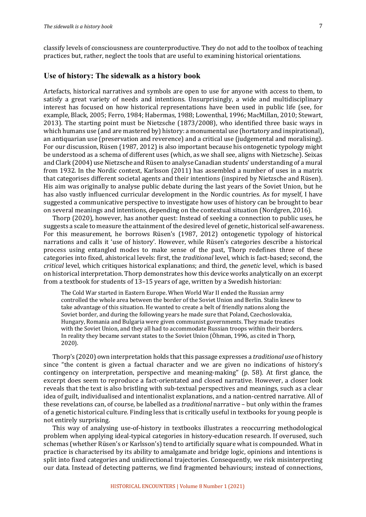classify levels of consciousness are counterproductive. They do not add to the toolbox of teaching practices but, rather, neglect the tools that are useful to examining historical orientations.

#### **Use of history: The sidewalk as a history book**

Artefacts, historical narratives and symbols are open to use for anyone with access to them, to satisfy a great variety of needs and intentions. Unsurprisingly, a wide and multidisciplinary interest has focused on how historical representations have been used in public life (see, for example, Black, 2005; Ferro, 1984; Habermas, 1988; Lowenthal, 1996; MacMillan, 2010; Stewart, 2013). The starting point must be Nietzsche  $(1873/2008)$ , who identified three basic ways in which humans use (and are mastered by) history: a monumental use (hortatory and inspirational), an antiquarian use (preservation and reverence) and a critical use (judgemental and moralising). For our discussion, Rüsen (1987, 2012) is also important because his ontogenetic typology might be understood as a schema of different uses (which, as we shall see, aligns with Nietzsche). Seixas and Clark (2004) use Nietzsche and Rüsen to analyse Canadian students' understanding of a mural from 1932. In the Nordic context, Karlsson (2011) has assembled a number of uses in a matrix that categorises different societal agents and their intentions (inspired by Nietzsche and Rüsen). His aim was originally to analyse public debate during the last years of the Soviet Union, but he has also vastly influenced curricular development in the Nordic countries. As for myself, I have suggested a communicative perspective to investigate how uses of history can be brought to bear on several meanings and intentions, depending on the contextual situation (Nordgren, 2016).

Thorp (2020), however, has another quest: Instead of seeking a connection to public uses, he suggests a scale to measure the attainment of the desired level of genetic, historical self-awareness. For this measurement, he borrows Rüsen's (1987, 2012) ontogenetic typology of historical narrations and calls it 'use of history'. However, while Rüsen's categories describe a historical process using entangled modes to make sense of the past, Thorp redefines three of these categories into fixed, ahistorical levels: first, the *traditional* level, which is fact-based; second, the *critical* level, which critiques historical explanations; and third, the *genetic* level, which is based on historical interpretation. Thorp demonstrates how this device works analytically on an excerpt from a textbook for students of 13-15 years of age, written by a Swedish historian:

The Cold War started in Eastern Europe. When World War II ended the Russian army controlled the whole area between the border of the Soviet Union and Berlin. Stalin knew to take advantage of this situation. He wanted to create a belt of friendly nations along the Soviet border, and during the following years he made sure that Poland, Czechoslovakia, Hungary, Romania and Bulgaria were given communist governments. They made treaties with the Soviet Union, and they all had to accommodate Russian troops within their borders. In reality they became servant states to the Soviet Union (Öhman, 1996, as cited in Thorp, 2020).

Thorp's (2020) own interpretation holds that this passage expresses a *traditional use* of history since "the content is given a factual character and we are given no indications of history's contingency on interpretation, perspective and meaning-making" (p. 58). At first glance, the excerpt does seem to reproduce a fact-orientated and closed narrative. However, a closer look reveals that the text is also bristling with sub-textual perspectives and meanings, such as a clear idea of guilt, individualised and intentionalist explanations, and a nation-centred narrative. All of these revelations can, of course, be labelled as a *traditional* narrative - but only within the frames of a genetic historical culture. Finding less that is critically useful in textbooks for young people is not entirely surprising.

This way of analysing use-of-history in textbooks illustrates a reoccurring methodological problem when applying ideal-typical categories in history-education research. If overused, such schemas (whether Rüsen's or Karlsson's) tend to artificially square what is compounded. What in practice is characterised by its ability to amalgamate and bridge logic, opinions and intentions is split into fixed categories and unidirectional trajectories. Consequently, we risk misinterpreting our data. Instead of detecting patterns, we find fragmented behaviours; instead of connections,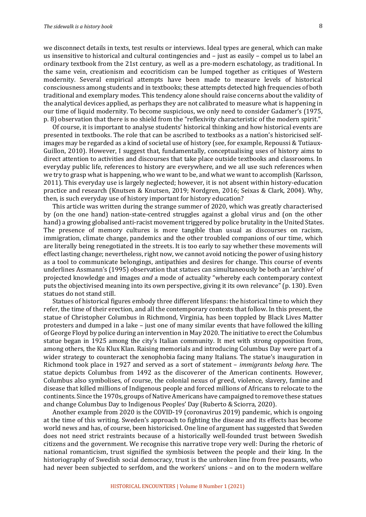we disconnect details in texts, test results or interviews. Ideal types are general, which can make us insensitive to historical and cultural contingencies and  $-$  just as easily  $-$  compel us to label an ordinary textbook from the 21st century, as well as a pre-modern eschatology, as traditional. In the same vein, creationism and ecocriticism can be lumped together as critiques of Western modernity. Several empirical attempts have been made to measure levels of historical consciousness among students and in textbooks; these attempts detected high frequencies of both traditional and exemplary modes. This tendency alone should raise concerns about the validity of the analytical devices applied, as perhaps they are not calibrated to measure what is happening in our time of liquid modernity. To become suspicious, we only need to consider Gadamer's (1975, p. 8) observation that there is no shield from the "reflexivity characteristic of the modern spirit."

Of course, it is important to analyse students' historical thinking and how historical events are presented in textbooks. The role that can be ascribed to textbooks as a nation's historicised selfimages may be regarded as a kind of societal use of history (see, for example, Repoussi & Tutiaux-Guillon, 2010). However, I suggest that, fundamentally, conceptualising uses of history aims to direct attention to activities and discourses that take place outside textbooks and classrooms. In everyday public life, references to history are everywhere, and we all use such references when we try to grasp what is happening, who we want to be, and what we want to accomplish (Karlsson, 2011). This everyday use is largely neglected; however, it is not absent within history-education practice and research (Knutsen & Knutsen, 2019; Nordgren, 2016; Seixas & Clark, 2004). Why, then, is such everyday use of history important for history education?

This article was written during the strange summer of 2020, which was greatly characterised by (on the one hand) nation-state-centred struggles against a global virus and (on the other hand) a growing globalised anti-racist movement triggered by police brutality in the United States. The presence of memory cultures is more tangible than usual as discourses on racism, immigration, climate change, pandemics and the other troubled companions of our time, which are literally being renegotiated in the streets. It is too early to say whether these movements will effect lasting change; nevertheless, right now, we cannot avoid noticing the power of using history as a tool to communicate belongings, antipathies and desires for change. This course of events underlines Assmann's (1995) observation that statues can simultaneously be both an 'archive' of projected knowledge and images *and* a mode of actuality "whereby each contemporary context puts the objectivised meaning into its own perspective, giving it its own relevance" (p. 130). Even statues do not stand still.

Statues of historical figures embody three different lifespans: the historical time to which they refer, the time of their erection, and all the contemporary contexts that follow. In this present, the statue of Christopher Columbus in Richmond, Virginia, has been toppled by Black Lives Matter protesters and dumped in a lake - just one of many similar events that have followed the killing of George Floyd by police during an intervention in May 2020. The initiative to erect the Columbus statue began in 1925 among the city's Italian community. It met with strong opposition from, among others, the Ku Klux Klan. Raising memorials and introducing Columbus Day were part of a wider strategy to counteract the xenophobia facing many Italians. The statue's inauguration in Richmond took place in 1927 and served as a sort of statement – *immigrants belong here*. The statue depicts Columbus from 1492 as the discoverer of the American continents. However, Columbus also symbolises, of course, the colonial nexus of greed, violence, slavery, famine and disease that killed millions of Indigenous people and forced millions of Africans to relocate to the continents. Since the 1970s, groups of Native Americans have campaigned to remove these statues and change Columbus Day to Indigenous Peoples' Day (Ruberto & Sciorra, 2020).

Another example from 2020 is the COVID-19 (coronavirus 2019) pandemic, which is ongoing at the time of this writing. Sweden's approach to fighting the disease and its effects has become world news and has, of course, been historicised. One line of argument has suggested that Sweden does not need strict restraints because of a historically well-founded trust between Swedish citizens and the government. We recognise this narrative trope very well: During the rhetoric of national romanticism, trust signified the symbiosis between the people and their king. In the historiography of Swedish social democracy, trust is the unbroken line from free peasants, who had never been subjected to serfdom, and the workers' unions - and on to the modern welfare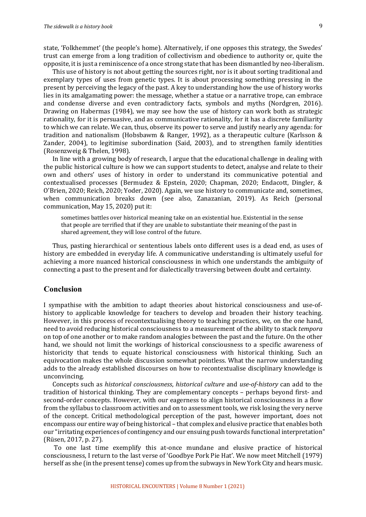state, 'Folkhemmet' (the people's home). Alternatively, if one opposes this strategy, the Swedes' trust can emerge from a long tradition of collectivism and obedience to authority or, quite the opposite, it is just a reminiscence of a once strong state that has been dismantled by neo-liberalism.

This use of history is not about getting the sources right, nor is it about sorting traditional and exemplary types of uses from genetic types. It is about processing something pressing in the present by perceiving the legacy of the past. A key to understanding how the use of history works lies in its amalgamating power: the message, whether a statue or a narrative trope, can embrace and condense diverse and even contradictory facts, symbols and myths (Nordgren, 2016). Drawing on Habermas (1984), we may see how the use of history can work both as strategic rationality, for it is persuasive, and as communicative rationality, for it has a discrete familiarity to which we can relate. We can, thus, observe its power to serve and justify nearly any agenda: for tradition and nationalism (Hobsbawm & Ranger, 1992), as a therapeutic culture (Karlsson & Zander, 2004), to legitimise subordination (Said, 2003), and to strengthen family identities (Rosenzweig & Thelen, 1998).

In line with a growing body of research, I argue that the educational challenge in dealing with the public historical culture is how we can support students to detect, analyse and relate to their own and others' uses of history in order to understand its communicative potential and contextualised processes (Bermudez & Epstein, 2020; Chapman, 2020; Endacott, Dingler, & O'Brien, 2020; Reich, 2020; Yoder, 2020). Again, we use history to communicate and, sometimes, when communication breaks down (see also, Zanazanian, 2019). As Reich (personal communication, May 15, 2020) put it:

sometimes battles over historical meaning take on an existential hue. Existential in the sense that people are terrified that if they are unable to substantiate their meaning of the past in shared agreement, they will lose control of the future.

Thus, pasting hierarchical or sententious labels onto different uses is a dead end, as uses of history are embedded in everyday life. A communicative understanding is ultimately useful for achieving a more nuanced historical consciousness in which one understands the ambiguity of connecting a past to the present and for dialectically traversing between doubt and certainty.

#### **Conclusion**

I sympathise with the ambition to adapt theories about historical consciousness and use-ofhistory to applicable knowledge for teachers to develop and broaden their history teaching. However, in this process of recontextualising theory to teaching practices, we, on the one hand, need to avoid reducing historical consciousness to a measurement of the ability to stack *tempora* on top of one another or to make random analogies between the past and the future. On the other hand, we should not limit the workings of historical consciousness to a specific awareness of historicity that tends to equate historical consciousness with historical thinking. Such an equivocation makes the whole discussion somewhat pointless. What the narrow understanding adds to the already established discourses on how to recontextualise disciplinary knowledge is unconvincing.

Concepts such as *historical consciousness*, *historical culture* and *use-of-history* can add to the tradition of historical thinking. They are complementary concepts - perhaps beyond first- and second-order concepts. However, with our eagerness to align historical consciousness in a flow from the syllabus to classroom activities and on to assessment tools, we risk losing the very nerve of the concept. Critical methodological perception of the past, however important, does not encompass our entire way of being historical – that complex and elusive practice that enables both our "irritating experiences of contingency and our ensuing push towards functional interpretation" (Rüsen, 2017, p. 27).

To one last time exemplify this at-once mundane and elusive practice of historical consciousness, I return to the last verse of 'Goodbye Pork Pie Hat'. We now meet Mitchell (1979) herself as she (in the present tense) comes up from the subways in New York City and hears music.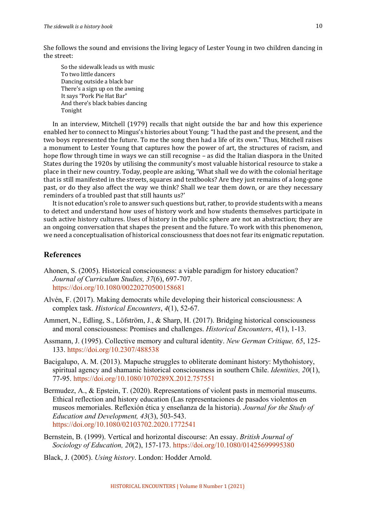She follows the sound and envisions the living legacy of Lester Young in two children dancing in the street:

So the sidewalk leads us with music To two little dancers Dancing outside a black bar There's a sign up on the awning It says "Pork Pie Hat Bar" And there's black babies dancing Tonight 

In an interview, Mitchell (1979) recalls that night outside the bar and how this experience enabled her to connect to Mingus's histories about Young: "I had the past and the present, and the two boys represented the future. To me the song then had a life of its own." Thus, Mitchell raises a monument to Lester Young that captures how the power of art, the structures of racism, and hope flow through time in ways we can still recognise  $-$  as did the Italian diaspora in the United States during the 1920s by utilising the community's most valuable historical resource to stake a place in their new country. Today, people are asking, 'What shall we do with the colonial heritage that is still manifested in the streets, squares and textbooks? Are they just remains of a long-gone past, or do they also affect the way we think? Shall we tear them down, or are they necessary reminders of a troubled past that still haunts us?'

It is not education's role to answer such questions but, rather, to provide students with a means to detect and understand how uses of history work and how students themselves participate in such active history cultures. Uses of history in the public sphere are not an abstraction; they are an ongoing conversation that shapes the present and the future. To work with this phenomenon, we need a conceptualisation of historical consciousness that does not fear its enigmatic reputation.

#### **References**

- Ahonen, S. (2005). Historical consciousness: a viable paradigm for history education? *Journal of Curriculum Studies, 37*(6), 697-707. https://doi.org/10.1080/00220270500158681
- Alvén, F. (2017). Making democrats while developing their historical consciousness: A complex task. *Historical Encounters*, *4*(1), 52-67.
- Ammert, N., Edling, S., Löfström, J., & Sharp, H. (2017). Bridging historical consciousness and moral consciousness: Promises and challenges. *Historical Encounters*, *4*(1), 1-13.
- Assmann, J. (1995). Collective memory and cultural identity. *New German Critique, 65*, 125- 133. https://doi.org/10.2307/488538
- Bacigalupo, A. M. (2013). Mapuche struggles to obliterate dominant history: Mythohistory, spiritual agency and shamanic historical consciousness in southern Chile. *Identities, 20*(1), 77-95. https://doi.org/10.1080/1070289X.2012.757551
- Bermudez, A., & Epstein, T. (2020). Representations of violent pasts in memorial museums. Ethical reflection and history education (Las representaciones de pasados violentos en museos memoriales. Reflexión ética y enseñanza de la historia). *Journal for the Study of Education and Development, 43*(3), 503-543. https://doi.org/10.1080/02103702.2020.1772541
- Bernstein, B. (1999). Vertical and horizontal discourse: An essay. *British Journal of Sociology of Education, 20*(2), 157-173. https://doi.org/10.1080/01425699995380
- Black, J. (2005). *Using history*. London: Hodder Arnold.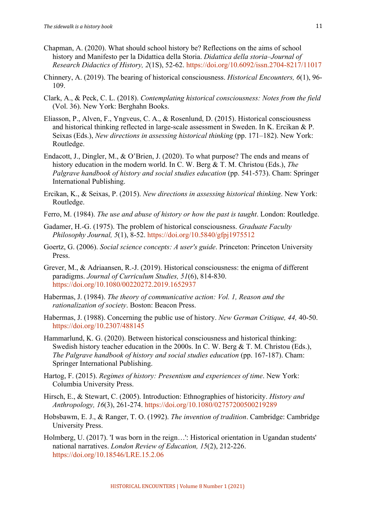- Chapman, A. (2020). What should school history be? Reflections on the aims of school history and Manifesto per la Didattica della Storia. *Didattica della storia–Journal of Research Didactics of History, 2*(1S), 52-62. https://doi.org/10.6092/issn.2704-8217/11017
- Chinnery, A. (2019). The bearing of historical consciousness. *Historical Encounters, 6*(1), 96- 109.
- Clark, A., & Peck, C. L. (2018). *Contemplating historical consciousness: Notes from the field* (Vol. 36). New York: Berghahn Books.
- Eliasson, P., Alven, F., Yngveus, C. A., & Rosenlund, D. (2015). Historical consciousness and historical thinking reflected in large-scale assessment in Sweden. In K. Ercikan & P. Seixas (Eds.), *New directions in assessing historical thinking* (pp. 171–182). New York: Routledge.
- Endacott, J., Dingler, M., & O'Brien, J. (2020). To what purpose? The ends and means of history education in the modern world. In C. W. Berg & T. M. Christou (Eds.), *The Palgrave handbook of history and social studies education* (pp. 541-573). Cham: Springer International Publishing.
- Ercikan, K., & Seixas, P. (2015). *New directions in assessing historical thinking*. New York: Routledge.
- Ferro, M. (1984). *The use and abuse of history or how the past is taught*. London: Routledge.
- Gadamer, H.-G. (1975). The problem of historical consciousness. *Graduate Faculty Philosophy Journal, 5*(1), 8-52. https://doi.org/10.5840/gfpj1975512
- Goertz, G. (2006). *Social science concepts: A user's guide*. Princeton: Princeton University Press.
- Grever, M., & Adriaansen, R.-J. (2019). Historical consciousness: the enigma of different paradigms. *Journal of Curriculum Studies, 51*(6), 814-830. https://doi.org/10.1080/00220272.2019.1652937
- Habermas, J. (1984). *The theory of communicative action: Vol. 1, Reason and the rationalization of society*. Boston: Beacon Press.
- Habermas, J. (1988). Concerning the public use of history. *New German Critique, 44,* 40-50. https://doi.org/10.2307/488145
- Hammarlund, K. G. (2020). Between historical consciousness and historical thinking: Swedish history teacher education in the 2000s. In C. W. Berg & T. M. Christou (Eds.), *The Palgrave handbook of history and social studies education* (pp. 167-187). Cham: Springer International Publishing.
- Hartog, F. (2015). *Regimes of history: Presentism and experiences of time*. New York: Columbia University Press.
- Hirsch, E., & Stewart, C. (2005). Introduction: Ethnographies of historicity. *History and Anthropology, 16*(3), 261-274. https://doi.org/10.1080/02757200500219289
- Hobsbawm, E. J., & Ranger, T. O. (1992). *The invention of tradition*. Cambridge: Cambridge University Press.
- Holmberg, U. (2017). 'I was born in the reign…': Historical orientation in Ugandan students' national narratives. *London Review of Education, 15*(2), 212-226. https://doi.org/10.18546/LRE.15.2.06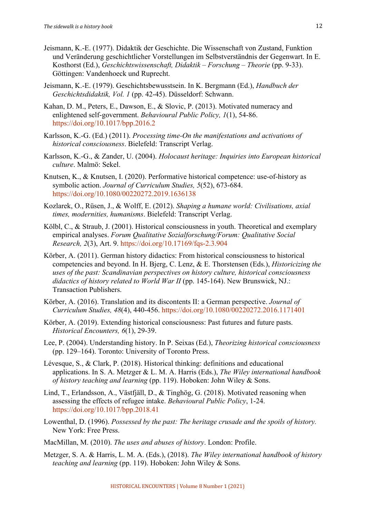- Jeismann, K.-E. (1977). Didaktik der Geschichte. Die Wissenschaft von Zustand, Funktion und Veränderung geschichtlicher Vorstellungen im Selbstverständnis der Gegenwart. In E. Kosthorst (Ed.), *Geschichtswissenschaft, Didaktik – Forschung – Theorie* (pp. 9-33). Göttingen: Vandenhoeck und Ruprecht.
- Jeismann, K.-E. (1979). Geschichtsbewusstsein. In K. Bergmann (Ed.), *Handbuch der Geschichtsdidaktik, Vol. 1* (pp. 42-45). Düsseldorf: Schwann.
- Kahan, D. M., Peters, E., Dawson, E., & Slovic, P. (2013). Motivated numeracy and enlightened self-government. *Behavioural Public Policy, 1*(1), 54-86. https://doi.org/10.1017/bpp.2016.2
- Karlsson, K.-G. (Ed.) (2011). *Processing time-On the manifestations and activations of historical consciousness*. Bielefeld: Transcript Verlag.
- Karlsson, K.-G., & Zander, U. (2004). *Holocaust heritage: Inquiries into European historical culture*. Malmö: Sekel.
- Knutsen, K., & Knutsen, I. (2020). Performative historical competence: use-of-history as symbolic action. *Journal of Curriculum Studies, 5*(52), 673-684. https://doi.org/10.1080/00220272.2019.1636138
- Kozlarek, O., Rüsen, J., & Wolff, E. (2012). *Shaping a humane world: Civilisations, axial times, modernities, humanisms*. Bielefeld: Transcript Verlag.
- Kölbl, C., & Straub, J. (2001). Historical consciousness in youth. Theoretical and exemplary empirical analyses. *Forum Qualitative Sozialforschung/Forum: Qualitative Social Research, 2*(3), Art. 9. https://doi.org/10.17169/fqs-2.3.904
- Körber, A. (2011). German history didactics: From historical consciousness to historical competencies and beyond. In H. Bjerg, C. Lenz, & E. Thorstensen (Eds.), *Historicizing the uses of the past: Scandinavian perspectives on history culture, historical consciousness didactics of history related to World War II* (pp. 145-164). New Brunswick, NJ.: Transaction Publishers.
- Körber, A. (2016). Translation and its discontents II: a German perspective. *Journal of Curriculum Studies, 48*(4), 440-456. https://doi.org/10.1080/00220272.2016.1171401
- Körber, A. (2019). Extending historical consciousness: Past futures and future pasts. *Historical Encounters, 6*(1), 29-39.
- Lee, P. (2004). Understanding history. In P. Seixas (Ed.), *Theorizing historical consciousness* (pp. 129–164). Toronto: University of Toronto Press.
- Lévesque, S., & Clark, P. (2018). Historical thinking: definitions and educational applications. In S. A. Metzger & L. M. A. Harris (Eds.), *The Wiley international handbook of history teaching and learning* (pp. 119). Hoboken: John Wiley & Sons.
- Lind, T., Erlandsson, A., Västfjäll, D., & Tinghög, G. (2018). Motivated reasoning when assessing the effects of refugee intake. *Behavioural Public Policy*, 1-24. https://doi.org/10.1017/bpp.2018.41
- Lowenthal, D. (1996). *Possessed by the past: The heritage crusade and the spoils of history.* New York: Free Press.
- MacMillan, M. (2010). *The uses and abuses of history*. London: Profile.
- Metzger, S. A. & Harris, L. M. A. (Eds.), (2018). *The Wiley international handbook of history teaching and learning* (pp. 119). Hoboken: John Wiley & Sons.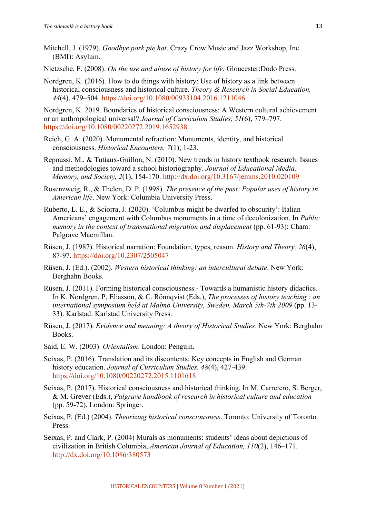- Mitchell, J. (1979). *Goodbye pork pie hat*. Crazy Crow Music and Jazz Workshop, Inc. (BMI): Asylum.
- Nietzsche, F. (2008). *On the use and abuse of history for life*. Gloucester:Dodo Press.
- Nordgren, K. (2016). How to do things with history: Use of history as a link between historical consciousness and historical culture. *Theory & Research in Social Education, 44*(4), 479–504. https://doi.org/10.1080/00933104.2016.1211046

Nordgren, K. 2019. Boundaries of historical consciousness: A Western cultural achievement or an anthropological universal? *Journal of Curriculum Studies, 51*(6), 779–797. https://doi.org/10.1080/00220272.2019.1652938

- Reich, G. A. (2020). Monumental refraction: Monuments, identity, and historical consciousness. *Historical Encounters, 7*(1), 1-23.
- Repoussi, M., & Tutiaux-Guillon, N. (2010). New trends in history textbook research: Issues and methodologies toward a school historiography. *Journal of Educational Media, Memory, and Society, 2*(1), 154-170. http://dx.doi.org/10.3167/jemms.2010.020109
- Rosenzweig, R., & Thelen, D. P. (1998). *The presence of the past: Popular uses of history in American life*. New York: Columbia University Press.
- Ruberto, L. E., & Sciorra, J. (2020). 'Columbus might be dwarfed to obscurity': Italian Americans' engagement with Columbus monuments in a time of decolonization. In *Public memory in the context of transnational migration and displacement* (pp. 61-93): Cham: Palgrave Macmillan.
- Rüsen, J. (1987). Historical narration: Foundation, types, reason. *History and Theory, 26*(4), 87-97. https://doi.org/10.2307/2505047
- Rüsen, J. (Ed.). (2002). *Western historical thinking: an intercultural debate*. New York: Berghahn Books.
- Rüsen, J. (2011). Forming historical consciousness Towards a humanistic history didactics. In K. Nordgren, P. Eliasson, & C. Rönnqvist (Eds.), *The processes of history teaching : an*  international symposium held at Malmö University, Sweden, March 5th-7th 2009 (pp. 13-33). Karlstad: Karlstad University Press.
- Rüsen, J. (2017). *Evidence and meaning: A theory of Historical Studies*. New York: Berghahn Books.
- Said, E. W. (2003). *Orientalism*. London: Penguin.
- Seixas, P. (2016). Translation and its discontents: Key concepts in English and German history education. *Journal of Curriculum Studies, 48*(4), 427-439. https://doi.org/10.1080/00220272.2015.1101618
- Seixas, P. (2017). Historical consciousness and historical thinking. In M. Carretero, S. Berger, & M. Grever (Eds.), *Palgrave handbook of research in historical culture and education* (pp. 59-72). London: Springer.
- Seixas, P. (Ed.) (2004). *Theorizing historical consciousness*. Toronto: University of Toronto Press.
- Seixas, P. and Clark, P. (2004) Murals as monuments: students' ideas about depictions of civilization in British Columbia, *American Journal of Education, 110*(2), 146–171. http://dx.doi.org/10.1086/380573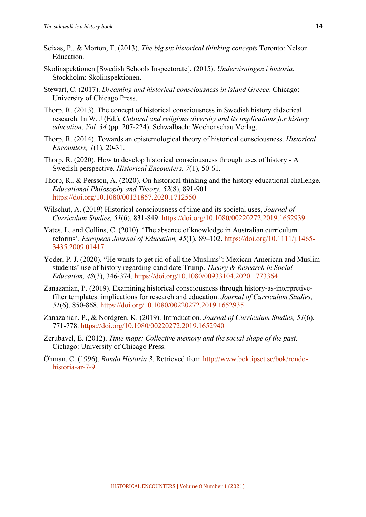- Seixas, P., & Morton, T. (2013). *The big six historical thinking concepts* Toronto: Nelson Education.
- Skolinspektionen [Swedish Schools Inspectorate]. (2015). *Undervisningen i historia*. Stockholm: Skolinspektionen.
- Stewart, C. (2017). *Dreaming and historical consciousness in island Greece*. Chicago: University of Chicago Press.
- Thorp, R. (2013). The concept of historical consciousness in Swedish history didactical research. In W. J (Ed.), *Cultural and religious diversity and its implications for history education*, *Vol. 34* (pp. 207-224). Schwalbach: Wochenschau Verlag.
- Thorp, R. (2014). Towards an epistemological theory of historical consciousness. *Historical Encounters, 1*(1), 20-31.
- Thorp, R. (2020). How to develop historical consciousness through uses of history A Swedish perspective. *Historical Encounters, 7*(1), 50-61.
- Thorp, R., & Persson, A. (2020). On historical thinking and the history educational challenge. *Educational Philosophy and Theory, 52*(8), 891-901. https://doi.org/10.1080/00131857.2020.1712550
- Wilschut, A. (2019) Historical consciousness of time and its societal uses, *Journal of Curriculum Studies, 51*(6), 831-849. https://doi.org/10.1080/00220272.2019.1652939
- Yates, L. and Collins, C. (2010). 'The absence of knowledge in Australian curriculum reforms'. *European Journal of Education, 45*(1), 89–102. https://doi.org/10.1111/j.1465- 3435.2009.01417
- Yoder, P. J. (2020). "He wants to get rid of all the Muslims": Mexican American and Muslim students' use of history regarding candidate Trump. *Theory & Research in Social Education, 48*(3), 346-374. https://doi.org/10.1080/00933104.2020.1773364
- Zanazanian, P. (2019). Examining historical consciousness through history-as-interpretivefilter templates: implications for research and education. *Journal of Curriculum Studies, 51*(6), 850-868. https://doi.org/10.1080/00220272.2019.1652935
- Zanazanian, P., & Nordgren, K. (2019). Introduction. *Journal of Curriculum Studies, 51*(6), 771-778. https://doi.org/10.1080/00220272.2019.1652940
- Zerubavel, E. (2012). *Time maps: Collective memory and the social shape of the past*. Cichago: University of Chicago Press.
- Öhman, C. (1996). *Rondo Historia 3*. Retrieved from http://www.boktipset.se/bok/rondohistoria-ar-7-9